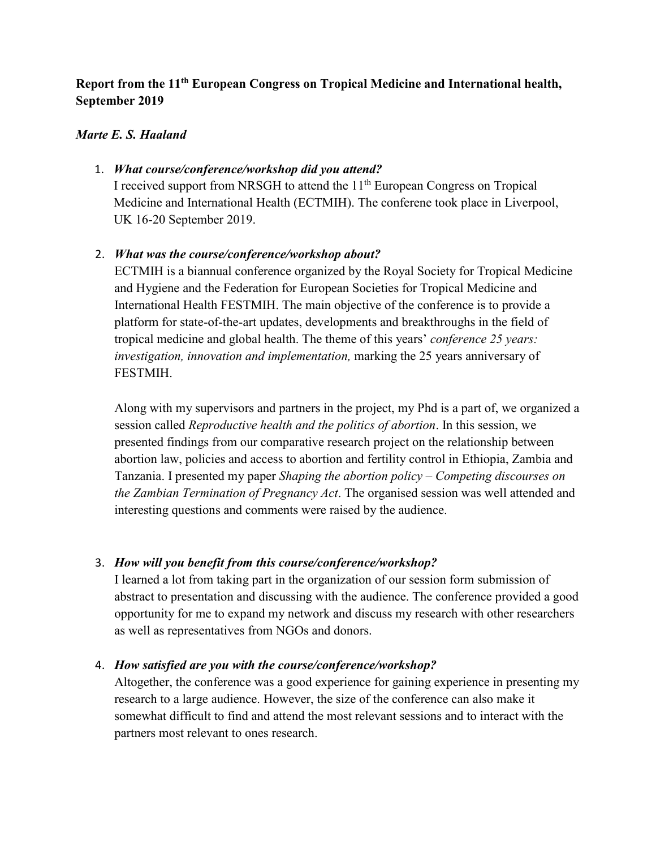# **Report from the 11th European Congress on Tropical Medicine and International health, September 2019**

#### *Marte E. S. Haaland*

### 1. *What course/conference/workshop did you attend?*

I received support from NRSGH to attend the 11<sup>th</sup> European Congress on Tropical Medicine and International Health (ECTMIH). The conferene took place in Liverpool, UK 16-20 September 2019.

### 2. *What was the course/conference/workshop about?*

ECTMIH is a biannual conference organized by the Royal Society for Tropical Medicine and Hygiene and the Federation for European Societies for Tropical Medicine and International Health FESTMIH. The main objective of the conference is to provide a platform for state-of-the-art updates, developments and breakthroughs in the field of tropical medicine and global health. The theme of this years' *conference 25 years: investigation, innovation and implementation,* marking the 25 years anniversary of FESTMIH.

Along with my supervisors and partners in the project, my Phd is a part of, we organized a session called *Reproductive health and the politics of abortion*. In this session, we presented findings from our comparative research project on the relationship between abortion law, policies and access to abortion and fertility control in Ethiopia, Zambia and Tanzania. I presented my paper *Shaping the abortion policy – Competing discourses on the Zambian Termination of Pregnancy Act*. The organised session was well attended and interesting questions and comments were raised by the audience.

# 3. *How will you benefit from this course/conference/workshop?*

I learned a lot from taking part in the organization of our session form submission of abstract to presentation and discussing with the audience. The conference provided a good opportunity for me to expand my network and discuss my research with other researchers as well as representatives from NGOs and donors.

# 4. *How satisfied are you with the course/conference/workshop?*

Altogether, the conference was a good experience for gaining experience in presenting my research to a large audience. However, the size of the conference can also make it somewhat difficult to find and attend the most relevant sessions and to interact with the partners most relevant to ones research.